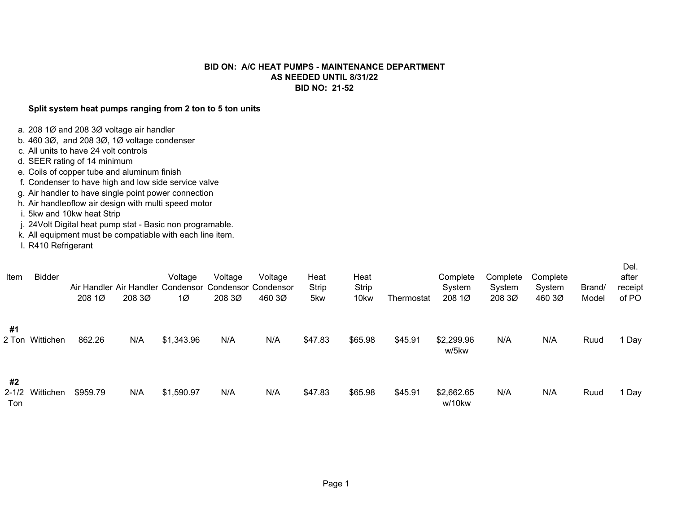## **BID ON: A/C HEAT PUMPS - MAINTENANCE DEPARTMENTAS NEEDED UNTIL 8/31/22BID NO: 21-52**

## **Split system heat pumps ranging from 2 ton to 5 ton units**

- a. 208 1Ø and 208 3Ø voltage air handler
- b. 460 3Ø, and 208 3Ø, 1Ø voltage condenser
- c. All units to have 24 volt controls
- d. SEER rating of 14 minimum
- e. Coils of copper tube and aluminum finish
- f. Condenser to have high and low side service valve
- g. Air handler to have single point power connection
- h. Air handlenflow air design with multi speed motor
- i. 5kw and 10kw heat Strip
- j. 24Volt Digital heat pump stat Basic non programable.
- k. All equipment must be compatiable with each line item.
- l. R410 Refrigerant

| Item                          | <b>Bidder</b> | 208 1Ø   | 208 30 | Voltage<br>1Ø | Voltage<br>Air Handler Air Handler Condensor Condensor Condensor<br>208 30 | Voltage<br>460 3Ø | Heat<br>Strip<br>5kw | Heat<br><b>Strip</b><br>10 <sub>kw</sub> | Thermostat | Complete<br>System<br>208 1Ø | Complete<br>System<br>208 30 | Complete<br>System<br>460 3Ø | Brand/<br>Model | Del.<br>after<br>receipt<br>of PO |
|-------------------------------|---------------|----------|--------|---------------|----------------------------------------------------------------------------|-------------------|----------------------|------------------------------------------|------------|------------------------------|------------------------------|------------------------------|-----------------|-----------------------------------|
| #1<br>2 Ton                   | Wittichen     | 862.26   | N/A    | \$1,343.96    | N/A                                                                        | N/A               | \$47.83              | \$65.98                                  | \$45.91    | \$2,299.96<br>w/5kw          | N/A                          | N/A                          | Ruud            | Day                               |
| #2<br>$2 - 1/2$<br><b>Ton</b> | Wittichen     | \$959.79 | N/A    | \$1,590.97    | N/A                                                                        | N/A               | \$47.83              | \$65.98                                  | \$45.91    | \$2,662.65<br>w/10kw         | N/A                          | N/A                          | Ruud            | Day                               |

 $\sim$